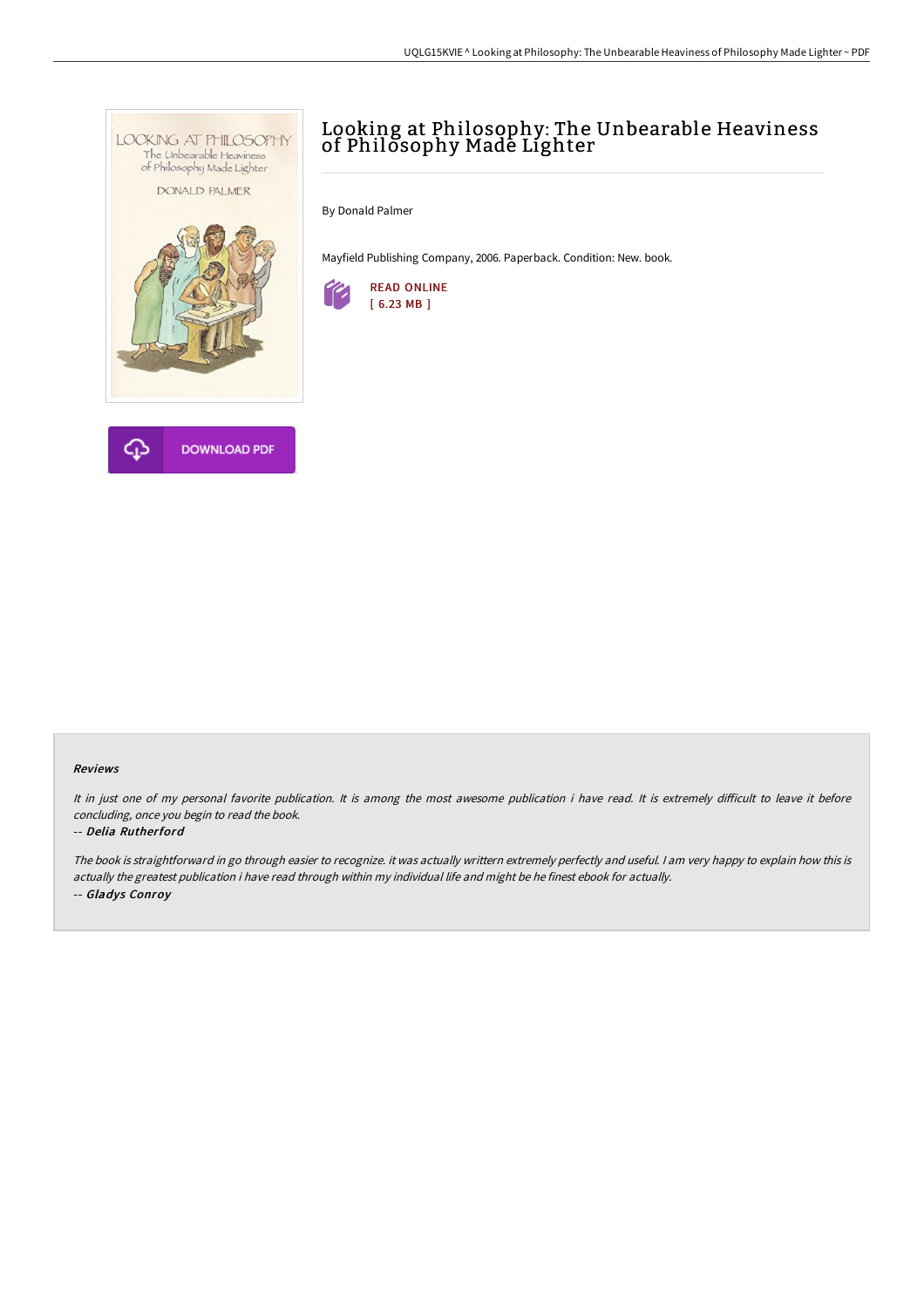

## **DOWNLOAD PDF**

## Looking at Philosophy: The Unbearable Heaviness of Philosophy Made Lighter

By Donald Palmer

Mayfield Publishing Company, 2006. Paperback. Condition: New. book.



## Reviews

It in just one of my personal favorite publication. It is among the most awesome publication i have read. It is extremely difficult to leave it before concluding, once you begin to read the book.

## -- Delia Rutherford

The book is straightforward in go through easier to recognize. it was actually writtern extremely perfectly and useful. <sup>I</sup> am very happy to explain how this is actually the greatest publication i have read through within my individual life and might be he finest ebook for actually. -- Gladys Conroy